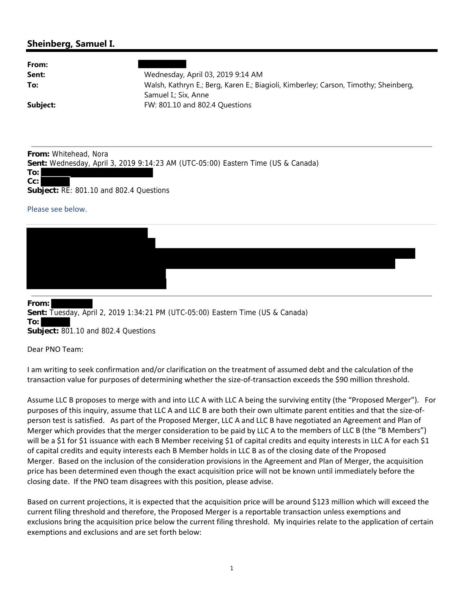## **Sheinberg, Samuel I.**

| From:    |                                                                                     |
|----------|-------------------------------------------------------------------------------------|
| Sent:    | Wednesday, April 03, 2019 9:14 AM                                                   |
| To:      | Walsh, Kathryn E.; Berg, Karen E.; Biagioli, Kimberley; Carson, Timothy; Sheinberg, |
|          | Samuel I.; Six, Anne                                                                |
| Subject: | FW: 801.10 and 802.4 Questions                                                      |
|          |                                                                                     |

**From:** Whitehead, Nora **Sent:** Wednesday, April 3, 2019 9:14:23 AM (UTC-05:00) Eastern Time (US & Canada) **To:**

**Subject:** RE: 801.10 and 802.4 Questions

## Please see below.

**Cc:**

## **From:**

**Sent:** Tuesday, April 2, 2019 1:34:21 PM (UTC-05:00) Eastern Time (US & Canada) **To:**

**Subject:** 801.10 and 802.4 Questions

Dear PNO Team:

I am writing to seek confirmation and/or clarification on the treatment of assumed debt and the calculation of the transaction value for purposes of determining whether the size‐of‐transaction exceeds the \$90 million threshold.

Assume LLC B proposes to merge with and into LLC A with LLC A being the surviving entity (the "Proposed Merger"). For purposes of this inquiry, assume that LLC A and LLC B are both their own ultimate parent entities and that the size-ofperson test is satisfied. As part of the Proposed Merger, LLC A and LLC B have negotiated an Agreement and Plan of Merger which provides that the merger consideration to be paid by LLC A to the members of LLC B (the "B Members") will be a \$1 for \$1 issuance with each B Member receiving \$1 of capital credits and equity interests in LLC A for each \$1 of capital credits and equity interests each B Member holds in LLC B as of the closing date of the Proposed Merger. Based on the inclusion of the consideration provisions in the Agreement and Plan of Merger, the acquisition price has been determined even though the exact acquisition price will not be known until immediately before the closing date. If the PNO team disagrees with this position, please advise.

Based on current projections, it is expected that the acquisition price will be around \$123 million which will exceed the current filing threshold and therefore, the Proposed Merger is a reportable transaction unless exemptions and exclusions bring the acquisition price below the current filing threshold. My inquiries relate to the application of certain exemptions and exclusions and are set forth below: